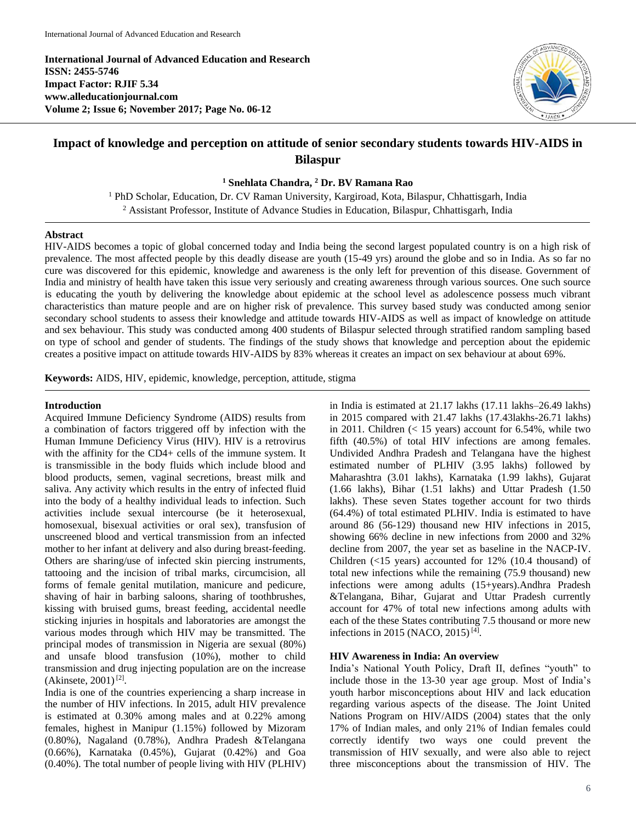**International Journal of Advanced Education and Research ISSN: 2455-5746 Impact Factor: RJIF 5.34 www.alleducationjournal.com Volume 2; Issue 6; November 2017; Page No. 06-12**



# **Impact of knowledge and perception on attitude of senior secondary students towards HIV-AIDS in Bilaspur**

**<sup>1</sup> Snehlata Chandra, <sup>2</sup> Dr. BV Ramana Rao**

<sup>1</sup> PhD Scholar, Education, Dr. CV Raman University, Kargiroad, Kota, Bilaspur, Chhattisgarh, India <sup>2</sup> Assistant Professor, Institute of Advance Studies in Education, Bilaspur, Chhattisgarh, India

#### **Abstract**

HIV-AIDS becomes a topic of global concerned today and India being the second largest populated country is on a high risk of prevalence. The most affected people by this deadly disease are youth (15-49 yrs) around the globe and so in India. As so far no cure was discovered for this epidemic, knowledge and awareness is the only left for prevention of this disease. Government of India and ministry of health have taken this issue very seriously and creating awareness through various sources. One such source is educating the youth by delivering the knowledge about epidemic at the school level as adolescence possess much vibrant characteristics than mature people and are on higher risk of prevalence. This survey based study was conducted among senior secondary school students to assess their knowledge and attitude towards HIV-AIDS as well as impact of knowledge on attitude and sex behaviour. This study was conducted among 400 students of Bilaspur selected through stratified random sampling based on type of school and gender of students. The findings of the study shows that knowledge and perception about the epidemic creates a positive impact on attitude towards HIV-AIDS by 83% whereas it creates an impact on sex behaviour at about 69%.

**Keywords:** AIDS, HIV, epidemic, knowledge, perception, attitude, stigma

## **Introduction**

Acquired Immune Deficiency Syndrome (AIDS) results from a combination of factors triggered off by infection with the Human Immune Deficiency Virus (HIV). HIV is a retrovirus with the affinity for the CD4+ cells of the immune system. It is transmissible in the body fluids which include blood and blood products, semen, vaginal secretions, breast milk and saliva. Any activity which results in the entry of infected fluid into the body of a healthy individual leads to infection. Such activities include sexual intercourse (be it heterosexual, homosexual, bisexual activities or oral sex), transfusion of unscreened blood and vertical transmission from an infected mother to her infant at delivery and also during breast-feeding. Others are sharing/use of infected skin piercing instruments, tattooing and the incision of tribal marks, circumcision, all forms of female genital mutilation, manicure and pedicure, shaving of hair in barbing saloons, sharing of toothbrushes, kissing with bruised gums, breast feeding, accidental needle sticking injuries in hospitals and laboratories are amongst the various modes through which HIV may be transmitted. The principal modes of transmission in Nigeria are sexual (80%) and unsafe blood transfusion (10%), mother to child transmission and drug injecting population are on the increase  $(Akinsete, 2001)^{[2]}$ .

India is one of the countries experiencing a sharp increase in the number of HIV infections. In 2015, adult HIV prevalence is estimated at 0.30% among males and at 0.22% among females, highest in Manipur (1.15%) followed by Mizoram (0.80%), Nagaland (0.78%), Andhra Pradesh &Telangana (0.66%), Karnataka (0.45%), Gujarat (0.42%) and Goa (0.40%). The total number of people living with HIV (PLHIV) in India is estimated at 21.17 lakhs (17.11 lakhs–26.49 lakhs) in 2015 compared with 21.47 lakhs (17.43lakhs-26.71 lakhs) in 2011. Children  $(< 15$  years) account for 6.54%, while two fifth (40.5%) of total HIV infections are among females. Undivided Andhra Pradesh and Telangana have the highest estimated number of PLHIV (3.95 lakhs) followed by Maharashtra (3.01 lakhs), Karnataka (1.99 lakhs), Gujarat (1.66 lakhs), Bihar (1.51 lakhs) and Uttar Pradesh (1.50 lakhs). These seven States together account for two thirds (64.4%) of total estimated PLHIV. India is estimated to have around 86 (56-129) thousand new HIV infections in 2015, showing 66% decline in new infections from 2000 and 32% decline from 2007, the year set as baseline in the NACP-IV. Children (<15 years) accounted for 12% (10.4 thousand) of total new infections while the remaining (75.9 thousand) new infections were among adults (15+years).Andhra Pradesh &Telangana, Bihar, Gujarat and Uttar Pradesh currently account for 47% of total new infections among adults with each of the these States contributing 7.5 thousand or more new infections in 2015 (NACO, 2015)<sup>[4]</sup>.

## **HIV Awareness in India: An overview**

India's National Youth Policy, Draft II, defines "youth" to include those in the 13-30 year age group. Most of India's youth harbor misconceptions about HIV and lack education regarding various aspects of the disease. The Joint United Nations Program on HIV/AIDS (2004) states that the only 17% of Indian males, and only 21% of Indian females could correctly identify two ways one could prevent the transmission of HIV sexually, and were also able to reject three misconceptions about the transmission of HIV. The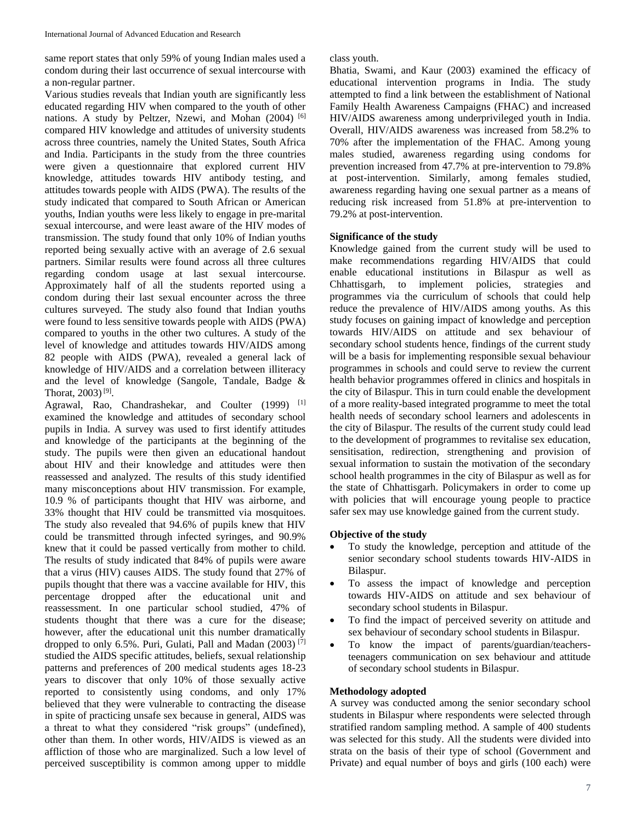same report states that only 59% of young Indian males used a condom during their last occurrence of sexual intercourse with a non-regular partner.

Various studies reveals that Indian youth are significantly less educated regarding HIV when compared to the youth of other nations. A study by Peltzer, Nzewi, and Mohan (2004) <sup>[6]</sup> compared HIV knowledge and attitudes of university students across three countries, namely the United States, South Africa and India. Participants in the study from the three countries were given a questionnaire that explored current HIV knowledge, attitudes towards HIV antibody testing, and attitudes towards people with AIDS (PWA). The results of the study indicated that compared to South African or American youths, Indian youths were less likely to engage in pre-marital sexual intercourse, and were least aware of the HIV modes of transmission. The study found that only 10% of Indian youths reported being sexually active with an average of 2.6 sexual partners. Similar results were found across all three cultures regarding condom usage at last sexual intercourse. Approximately half of all the students reported using a condom during their last sexual encounter across the three cultures surveyed. The study also found that Indian youths were found to less sensitive towards people with AIDS (PWA) compared to youths in the other two cultures. A study of the level of knowledge and attitudes towards HIV/AIDS among 82 people with AIDS (PWA), revealed a general lack of knowledge of HIV/AIDS and a correlation between illiteracy and the level of knowledge (Sangole, Tandale, Badge & Thorat,  $2003$ <sup>[9]</sup>.

Agrawal, Rao, Chandrashekar, and Coulter (1999) [1] examined the knowledge and attitudes of secondary school pupils in India. A survey was used to first identify attitudes and knowledge of the participants at the beginning of the study. The pupils were then given an educational handout about HIV and their knowledge and attitudes were then reassessed and analyzed. The results of this study identified many misconceptions about HIV transmission. For example, 10.9 % of participants thought that HIV was airborne, and 33% thought that HIV could be transmitted via mosquitoes. The study also revealed that 94.6% of pupils knew that HIV could be transmitted through infected syringes, and 90.9% knew that it could be passed vertically from mother to child. The results of study indicated that 84% of pupils were aware that a virus (HIV) causes AIDS. The study found that 27% of pupils thought that there was a vaccine available for HIV, this percentage dropped after the educational unit and reassessment. In one particular school studied, 47% of students thought that there was a cure for the disease; however, after the educational unit this number dramatically dropped to only 6.5%. Puri, Gulati, Pall and Madan  $(2003)$ <sup>[7]</sup> studied the AIDS specific attitudes, beliefs, sexual relationship patterns and preferences of 200 medical students ages 18-23 years to discover that only 10% of those sexually active reported to consistently using condoms, and only 17% believed that they were vulnerable to contracting the disease in spite of practicing unsafe sex because in general, AIDS was a threat to what they considered "risk groups" (undefined), other than them. In other words, HIV/AIDS is viewed as an affliction of those who are marginalized. Such a low level of perceived susceptibility is common among upper to middle

class youth.

Bhatia, Swami, and Kaur (2003) examined the efficacy of educational intervention programs in India. The study attempted to find a link between the establishment of National Family Health Awareness Campaigns (FHAC) and increased HIV/AIDS awareness among underprivileged youth in India. Overall, HIV/AIDS awareness was increased from 58.2% to 70% after the implementation of the FHAC. Among young males studied, awareness regarding using condoms for prevention increased from 47.7% at pre-intervention to 79.8% at post-intervention. Similarly, among females studied, awareness regarding having one sexual partner as a means of reducing risk increased from 51.8% at pre-intervention to 79.2% at post-intervention.

# **Significance of the study**

Knowledge gained from the current study will be used to make recommendations regarding HIV/AIDS that could enable educational institutions in Bilaspur as well as Chhattisgarh, to implement policies, strategies and programmes via the curriculum of schools that could help reduce the prevalence of HIV/AIDS among youths. As this study focuses on gaining impact of knowledge and perception towards HIV/AIDS on attitude and sex behaviour of secondary school students hence, findings of the current study will be a basis for implementing responsible sexual behaviour programmes in schools and could serve to review the current health behavior programmes offered in clinics and hospitals in the city of Bilaspur. This in turn could enable the development of a more reality-based integrated programme to meet the total health needs of secondary school learners and adolescents in the city of Bilaspur. The results of the current study could lead to the development of programmes to revitalise sex education, sensitisation, redirection, strengthening and provision of sexual information to sustain the motivation of the secondary school health programmes in the city of Bilaspur as well as for the state of Chhattisgarh. Policymakers in order to come up with policies that will encourage young people to practice safer sex may use knowledge gained from the current study.

# **Objective of the study**

- To study the knowledge, perception and attitude of the senior secondary school students towards HIV-AIDS in Bilaspur.
- To assess the impact of knowledge and perception towards HIV-AIDS on attitude and sex behaviour of secondary school students in Bilaspur.
- To find the impact of perceived severity on attitude and sex behaviour of secondary school students in Bilaspur.
- To know the impact of parents/guardian/teachersteenagers communication on sex behaviour and attitude of secondary school students in Bilaspur.

# **Methodology adopted**

A survey was conducted among the senior secondary school students in Bilaspur where respondents were selected through stratified random sampling method. A sample of 400 students was selected for this study. All the students were divided into strata on the basis of their type of school (Government and Private) and equal number of boys and girls (100 each) were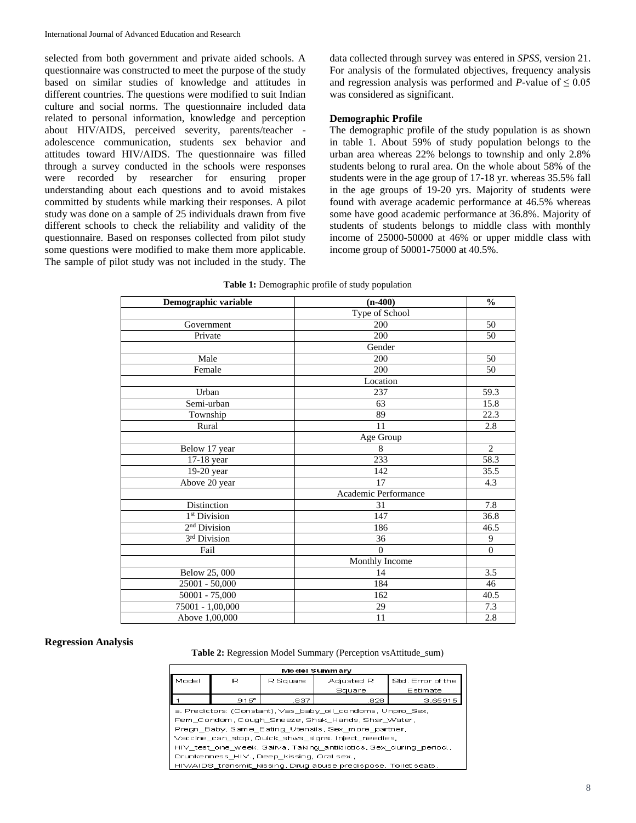selected from both government and private aided schools. A questionnaire was constructed to meet the purpose of the study based on similar studies of knowledge and attitudes in different countries. The questions were modified to suit Indian culture and social norms. The questionnaire included data related to personal information, knowledge and perception about HIV/AIDS, perceived severity, parents/teacher adolescence communication, students sex behavior and attitudes toward HIV/AIDS. The questionnaire was filled through a survey conducted in the schools were responses were recorded by researcher for ensuring proper understanding about each questions and to avoid mistakes committed by students while marking their responses. A pilot study was done on a sample of 25 individuals drawn from five different schools to check the reliability and validity of the questionnaire. Based on responses collected from pilot study some questions were modified to make them more applicable. The sample of pilot study was not included in the study. The

data collected through survey was entered in *SPSS*, version 21. For analysis of the formulated objectives, frequency analysis and regression analysis was performed and *P*-value of  $\leq 0.05$ was considered as significant.

## **Demographic Profile**

The demographic profile of the study population is as shown in table 1. About 59% of study population belongs to the urban area whereas 22% belongs to township and only 2.8% students belong to rural area. On the whole about 58% of the students were in the age group of 17-18 yr. whereas 35.5% fall in the age groups of 19-20 yrs. Majority of students were found with average academic performance at 46.5% whereas some have good academic performance at 36.8%. Majority of students of students belongs to middle class with monthly income of 25000-50000 at 46% or upper middle class with income group of 50001-75000 at 40.5%.

| Demographic variable     | $(n-400)$            | $\frac{0}{0}$    |
|--------------------------|----------------------|------------------|
|                          | Type of School       |                  |
| Government               | 200                  | 50               |
| Private                  | 200                  | 50               |
|                          | Gender               |                  |
| Male                     | 200                  | 50               |
| Female                   | 200                  | 50               |
|                          | Location             |                  |
| Urban                    | 237                  | 59.3             |
| Semi-urban               | 63                   | 15.8             |
| Township                 | 89                   | 22.3             |
| Rural                    | 11                   | 2.8              |
|                          | Age Group            |                  |
| Below 17 year            | 8                    | $\overline{2}$   |
| 17-18 year               | $\overline{233}$     | 58.3             |
| 19-20 year               | 142                  | 35.5             |
| Above 20 year            | 17                   | 4.3              |
|                          | Academic Performance |                  |
| Distinction              | 31                   | 7.8              |
| 1 <sup>st</sup> Division | 147                  | 36.8             |
| 2 <sup>nd</sup> Division | 186                  | 46.5             |
| 3rd Division             | 36                   | $\boldsymbol{9}$ |
| Fail                     | $\theta$             | $\overline{0}$   |
|                          | Monthly Income       |                  |
| Below 25, 000            | 14                   | 3.5              |
| $25001 - 50,000$         | 184                  | 46               |
| 50001 - 75,000           | 162                  | 40.5             |
| 75001 - 1,00,000         | 29                   | 7.3              |
| Above 1,00,000           | $\overline{11}$      | 2.8              |

|  |  |  | Table 1: Demographic profile of study population |  |
|--|--|--|--------------------------------------------------|--|
|--|--|--|--------------------------------------------------|--|

#### **Regression Analysis**

**Table 2:** Regression Model Summary (Perception vsAttitude\_sum)

| <b>Model Summary</b>                                              |     |          |                                                                 |          |  |  |
|-------------------------------------------------------------------|-----|----------|-----------------------------------------------------------------|----------|--|--|
| Model                                                             | R   | R Square | Std. Error of the<br>Adjusted R                                 |          |  |  |
|                                                                   |     |          | Square                                                          | Estimate |  |  |
|                                                                   | 915 | .837     | .828                                                            | 3.65915  |  |  |
|                                                                   |     |          | a. Predictors: (Constant), Vas baby oil condoms, Unpro Sex,     |          |  |  |
|                                                                   |     |          | Fem Condom Cough Sneeze Shak Hands Shar Water.                  |          |  |  |
|                                                                   |     |          | Pregn Baby, Same Eating Utensils, Sex more partner,             |          |  |  |
| Vaccine can stop Quick shws signs. Inject needles,                |     |          |                                                                 |          |  |  |
| HIV test one week, Saliva, Taking antibiotics, Sex during period. |     |          |                                                                 |          |  |  |
| Drunkenness HIV., Deep kissing, Oral sex.,                        |     |          |                                                                 |          |  |  |
|                                                                   |     |          | HIV/AIDS transmit kissing, Drug abuse predispose, Toilet seats. |          |  |  |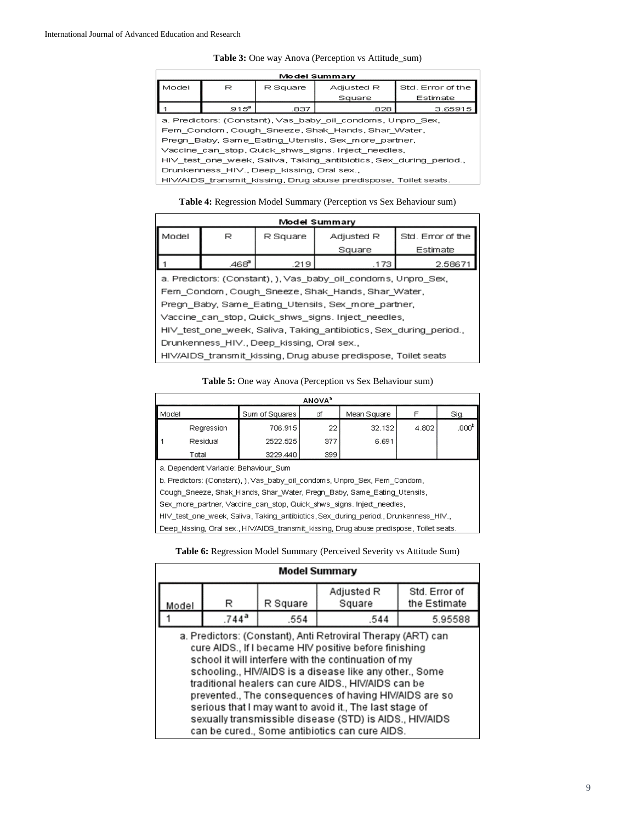#### **Table 3:** One way Anova (Perception vs Attitude\_sum)

| <b>Model Summary</b>                                               |                                                     |      |                                                                 |          |  |  |
|--------------------------------------------------------------------|-----------------------------------------------------|------|-----------------------------------------------------------------|----------|--|--|
| Model                                                              | Std. Error of the<br>Adjusted R<br>R<br>R Square    |      |                                                                 |          |  |  |
|                                                                    |                                                     |      | Square                                                          | Estimate |  |  |
|                                                                    | $.915^{\circ}$                                      | .837 | .828                                                            | 3.65915  |  |  |
|                                                                    |                                                     |      | a. Predictors: (Constant), Vas baby oil condoms, Unpro Sex,     |          |  |  |
|                                                                    |                                                     |      | Fem Condom, Cough Sneeze, Shak Hands, Shar Water,               |          |  |  |
|                                                                    |                                                     |      | Pregn_Baby, Same_Eating_Utensils, Sex_more_partner,             |          |  |  |
|                                                                    | Vaccine can stop, Quick shws signs. Inject needles, |      |                                                                 |          |  |  |
| HIV_test_one_week, Saliva, Taking_antibiotics, Sex_during_period., |                                                     |      |                                                                 |          |  |  |
| Drunkenness_HIV., Deep_kissing, Oral sex.,                         |                                                     |      |                                                                 |          |  |  |
|                                                                    |                                                     |      | HIV/AIDS transmit kissing, Drug abuse predispose, Toilet seats. |          |  |  |
|                                                                    |                                                     |      |                                                                 |          |  |  |

**Table 4:** Regression Model Summary (Perception vs Sex Behaviour sum)

| Model Summary                                                     |       |                                             |                                                                |          |  |  |
|-------------------------------------------------------------------|-------|---------------------------------------------|----------------------------------------------------------------|----------|--|--|
| Model                                                             | R     | Std. Error of the<br>Adjusted R<br>R Square |                                                                |          |  |  |
|                                                                   |       |                                             | Square                                                         | Estimate |  |  |
|                                                                   | .468ª | .219                                        | .173                                                           | 2.58671  |  |  |
|                                                                   |       |                                             | a. Predictors: (Constant), ), Vas_baby_oil_condoms, Unpro_Sex, |          |  |  |
|                                                                   |       |                                             | Fem_Condom, Cough_Sneeze, Shak_Hands, Shar_Water,              |          |  |  |
|                                                                   |       |                                             | Pregn Baby, Same Eating Utensils, Sex more partner,            |          |  |  |
|                                                                   |       |                                             | Vaccine_can_stop, Quick_shws_signs. Inject_needles,            |          |  |  |
| HIV test one week, Saliva, Taking antibiotics, Sex during period. |       |                                             |                                                                |          |  |  |
| Drunkenness_HIV., Deep_kissing, Oral sex.,                        |       |                                             |                                                                |          |  |  |
|                                                                   |       |                                             | HIV/AIDS transmit kissing, Drug abuse predispose, Toilet seats |          |  |  |

## **Table 5:** One way Anova (Perception vs Sex Behaviour sum)

| <b>ANOVA</b> <sup>3</sup>                                                  |                                      |                                                                      |     |             |       |                   |  |
|----------------------------------------------------------------------------|--------------------------------------|----------------------------------------------------------------------|-----|-------------|-------|-------------------|--|
| Model                                                                      |                                      | Sum of Squares                                                       | ď   | Mean Square |       | Sig.              |  |
|                                                                            | Regression                           | 706.915                                                              | 22  | 32.132      | 4.802 | .000 <sup>b</sup> |  |
|                                                                            | Residual                             | 2522.525                                                             | 377 | 6.691       |       |                   |  |
|                                                                            | Total                                | 3229.440                                                             | 399 |             |       |                   |  |
|                                                                            | a. Dependent Variable: Behaviour Sum |                                                                      |     |             |       |                   |  |
| b. Predictors: (Constant), ), Vas_baby_oil_condoms, Unpro_Sex, Fem_Condom, |                                      |                                                                      |     |             |       |                   |  |
| Cough Sneeze, Shak Hands, Shar Water, Pregn_Baby, Same Eating Utensils,    |                                      |                                                                      |     |             |       |                   |  |
|                                                                            |                                      | Sex more partner, Vaccine can stop, Quick shws signs Inject needles, |     |             |       |                   |  |

HIV\_test\_one\_week, Saliva, Taking\_antibiotics, Sex\_during\_period., Drunkenness\_HIV.,

Deep\_kissing, Oral sex., HIV/AIDS\_transmit\_kissing, Drug abuse predispose, Toilet seats.

**Table 6:** Regression Model Summary (Perceived Severity vs Attitude Sum)

| <b>Model Summary</b>                                                                                                                                                                                                                                                                                                                                                                                                                                                                                                              |                     |      |      |         |  |  |  |
|-----------------------------------------------------------------------------------------------------------------------------------------------------------------------------------------------------------------------------------------------------------------------------------------------------------------------------------------------------------------------------------------------------------------------------------------------------------------------------------------------------------------------------------|---------------------|------|------|---------|--|--|--|
| Std. Error of<br>Adjusted R<br>the Estimate<br>Square<br>R Square<br>R<br>Model                                                                                                                                                                                                                                                                                                                                                                                                                                                   |                     |      |      |         |  |  |  |
|                                                                                                                                                                                                                                                                                                                                                                                                                                                                                                                                   | $.744$ <sup>a</sup> | .554 | .544 | 5.95588 |  |  |  |
| a. Predictors: (Constant), Anti Retroviral Therapy (ART) can<br>cure AIDS., If I became HIV positive before finishing<br>school it will interfere with the continuation of my<br>schooling., HIV/AIDS is a disease like any other., Some<br>traditional healers can cure AIDS., HIV/AIDS can be<br>prevented., The consequences of having HIV/AIDS are so<br>serious that I may want to avoid it., The last stage of<br>sexually transmissible disease (STD) is AIDS., HIV/AIDS<br>can be cured., Some antibiotics can cure AIDS. |                     |      |      |         |  |  |  |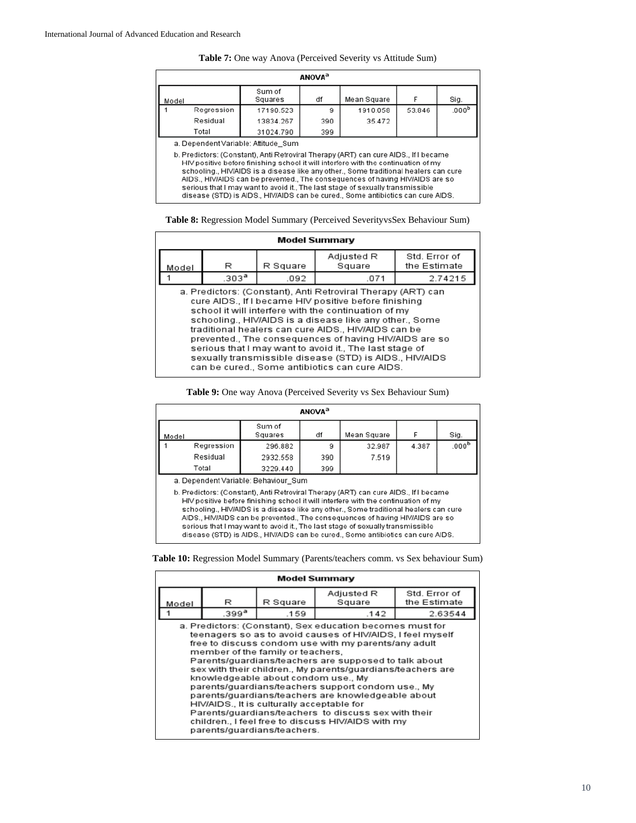| Table 7: One way Anova (Perceived Severity vs Attitude Sum) |  |  |
|-------------------------------------------------------------|--|--|
|-------------------------------------------------------------|--|--|

| ANOVA <sup>3</sup>                                                                                                                                                                                                                                                                                                                                                                                                                                                                                               |                   |     |             |        |                  |  |
|------------------------------------------------------------------------------------------------------------------------------------------------------------------------------------------------------------------------------------------------------------------------------------------------------------------------------------------------------------------------------------------------------------------------------------------------------------------------------------------------------------------|-------------------|-----|-------------|--------|------------------|--|
| Model                                                                                                                                                                                                                                                                                                                                                                                                                                                                                                            | Sum of<br>Squares | df  | Mean Square |        | Sig.             |  |
| Regression                                                                                                                                                                                                                                                                                                                                                                                                                                                                                                       | 17190.523         | 9   | 1910.058    | 53.846 | 000 <sup>b</sup> |  |
| Residual                                                                                                                                                                                                                                                                                                                                                                                                                                                                                                         | 13834.267         | 390 | 35.472      |        |                  |  |
| Total                                                                                                                                                                                                                                                                                                                                                                                                                                                                                                            | 31024.790         | 399 |             |        |                  |  |
| a. Dependent Variable: Attitude Sum                                                                                                                                                                                                                                                                                                                                                                                                                                                                              |                   |     |             |        |                  |  |
| b. Predictors: (Constant), Anti Retroviral Therapy (ART) can cure AIDS., If I became<br>HIV positive before finishing school it will interfere with the continuation of my<br>schooling HIV/AIDS is a disease like any other Some traditional healers can cure<br>AIDS., HIV/AIDS can be prevented., The consequences of having HIV/AIDS are so<br>serious that I may want to avoid it., The last stage of sexually transmissible<br>disease (STD) is AIDS HIV/AIDS can be cured Some antibiotics can cure AIDS. |                   |     |             |        |                  |  |

**Table 8:** Regression Model Summary (Perceived SeverityvsSex Behaviour Sum)

| <b>Model Summary</b>                                                                                                                                                                                                                                                                                                                                                                                                                                                                                                          |                   |      |      |         |  |  |
|-------------------------------------------------------------------------------------------------------------------------------------------------------------------------------------------------------------------------------------------------------------------------------------------------------------------------------------------------------------------------------------------------------------------------------------------------------------------------------------------------------------------------------|-------------------|------|------|---------|--|--|
| Std. Error of<br>Adjusted R<br>the Estimate<br>Square<br>R<br>R Square<br>Model                                                                                                                                                                                                                                                                                                                                                                                                                                               |                   |      |      |         |  |  |
|                                                                                                                                                                                                                                                                                                                                                                                                                                                                                                                               | .303 <sup>a</sup> | .092 | .071 | 2.74215 |  |  |
| a. Predictors: (Constant), Anti Retroviral Therapy (ART) can<br>cure AIDS If I became HIV positive before finishing<br>school it will interfere with the continuation of my<br>schooling., HIV/AIDS is a disease like any other., Some<br>traditional healers can cure AIDS., HIV/AIDS can be<br>prevented The consequences of having HIV/AIDS are so<br>serious that I may want to avoid it., The last stage of<br>sexually transmissible disease (STD) is AIDS., HIV/AIDS<br>can be cured., Some antibiotics can cure AIDS. |                   |      |      |         |  |  |

**Table 9:** One way Anova (Perceived Severity vs Sex Behaviour Sum)

| <b>ANOVA</b> <sup>a</sup>                                                                                                                                                  |            |                   |     |             |       |                   |
|----------------------------------------------------------------------------------------------------------------------------------------------------------------------------|------------|-------------------|-----|-------------|-------|-------------------|
| Model                                                                                                                                                                      |            | Sum of<br>Squares | df  | Mean Square |       | Sig.              |
|                                                                                                                                                                            | Regression | 296.882           | g   | 32.987      | 4.387 | .000 <sup>b</sup> |
|                                                                                                                                                                            | Residual   | 2932.558          | 390 | 7.519       |       |                   |
|                                                                                                                                                                            | Total      | 3229.440          | 399 |             |       |                   |
| a. Dependent Variable: Behaviour Sum                                                                                                                                       |            |                   |     |             |       |                   |
| b. Predictors: (Constant), Anti Retroviral Therapy (ART) can cure AIDS., If I became<br>HIV nogitive hefore finishing school it will interfere with the continuation of my |            |                   |     |             |       |                   |

on of my schooling., HIV/AIDS is a disease like any other., Some traditional healers can cure AIDS., HIV/AIDS can be prevented., The consequences of having HIV/AIDS are so serious that I may want to avoid it., The last stage of sexually transmissible disease (STD) is AIDS., HIV/AIDS can be cured., Some antibiotics can cure AIDS.

**Table 10:** Regression Model Summary (Parents/teachers comm. vs Sex behaviour Sum)

| <b>Model Summary</b>                                                                                                                                                                                                                                                                                                                                                                                                                                                                                                                                                                                                                                                                     |                                                                                 |      |      |         |  |  |  |  |
|------------------------------------------------------------------------------------------------------------------------------------------------------------------------------------------------------------------------------------------------------------------------------------------------------------------------------------------------------------------------------------------------------------------------------------------------------------------------------------------------------------------------------------------------------------------------------------------------------------------------------------------------------------------------------------------|---------------------------------------------------------------------------------|------|------|---------|--|--|--|--|
|                                                                                                                                                                                                                                                                                                                                                                                                                                                                                                                                                                                                                                                                                          | Std. Error of<br>Adjusted R<br>R Square<br>the Estimate<br>Square<br>R<br>Model |      |      |         |  |  |  |  |
|                                                                                                                                                                                                                                                                                                                                                                                                                                                                                                                                                                                                                                                                                          | .399 <sup>a</sup>                                                               | .159 | .142 | 2.63544 |  |  |  |  |
| a. Predictors: (Constant), Sex education becomes must for<br>teenagers so as to avoid causes of HIV/AIDS, I feel myself<br>free to discuss condom use with my parents/any adult<br>member of the family or teachers.<br>Parents/guardians/teachers are supposed to talk about<br>sex with their children., My parents/guardians/teachers are<br>knowledgeable about condom use., My<br>parents/guardians/teachers support condom use., My<br>parents/guardians/teachers are knowledgeable about<br>HIV/AIDS., It is culturally acceptable for<br>Parents/quardians/teachers to discuss sex with their<br>children I feel free to discuss HIV/AIDS with my<br>parents/quardians/teachers. |                                                                                 |      |      |         |  |  |  |  |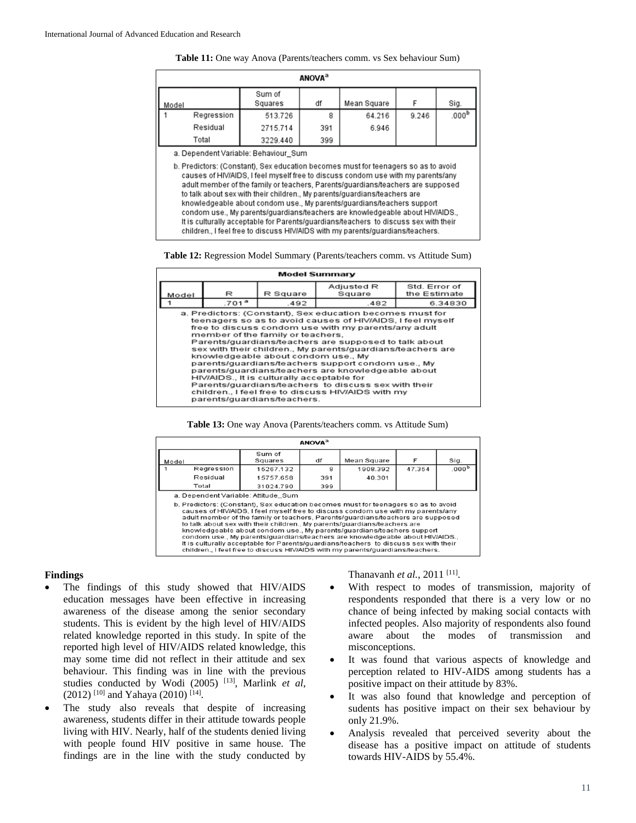| Table 11: One way Anova (Parents/teachers comm. vs Sex behaviour Sum) |  |  |
|-----------------------------------------------------------------------|--|--|
|-----------------------------------------------------------------------|--|--|

| <b>ANOVA</b> <sup>a</sup>                                                                                                                                                                                                      |            |                   |     |             |       |                   |
|--------------------------------------------------------------------------------------------------------------------------------------------------------------------------------------------------------------------------------|------------|-------------------|-----|-------------|-------|-------------------|
| Model                                                                                                                                                                                                                          |            | Sum of<br>Squares | df  | Mean Square |       | Sig.              |
|                                                                                                                                                                                                                                | Regression | 513.726           | 8   | 64.216      | 9.246 | .000 <sup>b</sup> |
|                                                                                                                                                                                                                                | Residual   | 2715.714          | 391 | 6.946       |       |                   |
|                                                                                                                                                                                                                                | Total      | 3229.440          | 399 |             |       |                   |
| . Best and a state of a between the state of the state of the state of the state of the state of the state of the state of the state of the state of the state of the state of the state of the state of the state of the stat |            |                   |     |             |       |                   |

a. Dependent Variable: Behaviour\_Sum

b. Predictors: (Constant), Sex education becomes must for teenagers so as to avoid causes of HIV/AIDS, I feel myself free to discuss condom use with my parents/any adult member of the family or teachers, Parents/guardians/teachers are supposed to talk about sex with their children., My parents/guardians/teachers are knowledgeable about condom use., My parents/guardians/teachers support condom use., My parents/guardians/teachers are knowledgeable about HIV/AIDS., It is culturally acceptable for Parents/guardians/teachers to discuss sex with their children., I feel free to discuss HIV/AIDS with my parents/guardians/teachers.

**Table 12:** Regression Model Summary (Parents/teachers comm. vs Attitude Sum)

| <b>Model Summary</b> |                             |                                                                                                                                                       |                                                                                                                                                                                                                                                                                                                                                                                                                                                                                                                                   |              |  |  |
|----------------------|-----------------------------|-------------------------------------------------------------------------------------------------------------------------------------------------------|-----------------------------------------------------------------------------------------------------------------------------------------------------------------------------------------------------------------------------------------------------------------------------------------------------------------------------------------------------------------------------------------------------------------------------------------------------------------------------------------------------------------------------------|--------------|--|--|
|                      | Std. Error of<br>Adjusted R |                                                                                                                                                       |                                                                                                                                                                                                                                                                                                                                                                                                                                                                                                                                   |              |  |  |
| Model                | R                           | R Square                                                                                                                                              | Square                                                                                                                                                                                                                                                                                                                                                                                                                                                                                                                            | the Estimate |  |  |
|                      | .701 <sup>a</sup>           | .492                                                                                                                                                  | .482                                                                                                                                                                                                                                                                                                                                                                                                                                                                                                                              | 6.34830      |  |  |
|                      |                             | member of the family or teachers.<br>knowledgeable about condom use., My<br>HIV/AIDS., It is culturally acceptable for<br>parents/guardians/teachers. | a. Predictors: (Constant), Sex education becomes must for<br>teenagers so as to avoid causes of HIV/AIDS. I feel myself<br>free to discuss condom use with my parents/any adult<br>Parents/guardians/teachers are supposed to talk about<br>sex with their children., My parents/guardians/teachers are<br>parents/guardians/teachers support condom use., My<br>parents/quardians/teachers are knowledgeable about<br>Parents/quardians/teachers to discuss sex with their<br>children., I feel free to discuss HIV/AIDS with my |              |  |  |

| Table 13: One way Anova (Parents/teachers comm. vs Attitude Sum) |  |  |
|------------------------------------------------------------------|--|--|
|------------------------------------------------------------------|--|--|

| <b>ANOVA</b> <sup>3</sup>                                                                                                                                                                                                                                                                                                                                                                                                                                                                                                                                                                                                                                               |            |                   |     |             |        |                   |  |
|-------------------------------------------------------------------------------------------------------------------------------------------------------------------------------------------------------------------------------------------------------------------------------------------------------------------------------------------------------------------------------------------------------------------------------------------------------------------------------------------------------------------------------------------------------------------------------------------------------------------------------------------------------------------------|------------|-------------------|-----|-------------|--------|-------------------|--|
| Model                                                                                                                                                                                                                                                                                                                                                                                                                                                                                                                                                                                                                                                                   |            | Sum of<br>Squares | df  | Mean Square | F      | Sig.              |  |
|                                                                                                                                                                                                                                                                                                                                                                                                                                                                                                                                                                                                                                                                         | Regression | 15267.132         | 8   | 1908.392    | 47.354 | .000 <sup>b</sup> |  |
|                                                                                                                                                                                                                                                                                                                                                                                                                                                                                                                                                                                                                                                                         | Residual   | 15757.658         | 391 | 40.301      |        |                   |  |
|                                                                                                                                                                                                                                                                                                                                                                                                                                                                                                                                                                                                                                                                         | Total      | 31024.790         | 399 |             |        |                   |  |
| a. Dependent Variable: Attitude Sum                                                                                                                                                                                                                                                                                                                                                                                                                                                                                                                                                                                                                                     |            |                   |     |             |        |                   |  |
| b. Predictors: (Constant), Sex education becomes must for teenagers so as to avoid<br>causes of HIV/AIDS, I feel myself free to discuss condom use with my parents/any<br>adult member of the family or teachers. Parents/guardians/teachers are supposed<br>to talk about sex with their children., My parents/quardians/teachers are<br>knowledgeable about condom use., My parents/guardians/teachers support<br>condom use My parents/quardians/teachers are knowledgeable about HIV/AIDS<br>It is culturally acceptable for Parents/quardians/teachers to discuss sex with their<br>children., I feel free to discuss HIV/AIDS with my parents/guardians/teachers. |            |                   |     |             |        |                   |  |

## **Findings**

- The findings of this study showed that HIV/AIDS education messages have been effective in increasing awareness of the disease among the senior secondary students. This is evident by the high level of HIV/AIDS related knowledge reported in this study. In spite of the reported high level of HIV/AIDS related knowledge, this may some time did not reflect in their attitude and sex behaviour. This finding was in line with the previous studies conducted by Wodi (2005) [13] , Marlink *et al*,  $(2012)$ <sup>[10]</sup> and Yahaya (2010)<sup>[14]</sup>.
- The study also reveals that despite of increasing awareness, students differ in their attitude towards people living with HIV. Nearly, half of the students denied living with people found HIV positive in same house. The findings are in the line with the study conducted by

Thanavanh *et al.*, 2011<sup>[11]</sup>.

- With respect to modes of transmission, majority of respondents responded that there is a very low or no chance of being infected by making social contacts with infected peoples. Also majority of respondents also found aware about the modes of transmission and misconceptions.
- It was found that various aspects of knowledge and perception related to HIV-AIDS among students has a positive impact on their attitude by 83%.
- It was also found that knowledge and perception of sudents has positive impact on their sex behaviour by only 21.9%.
- Analysis revealed that perceived severity about the disease has a positive impact on attitude of students towards HIV-AIDS by 55.4%.